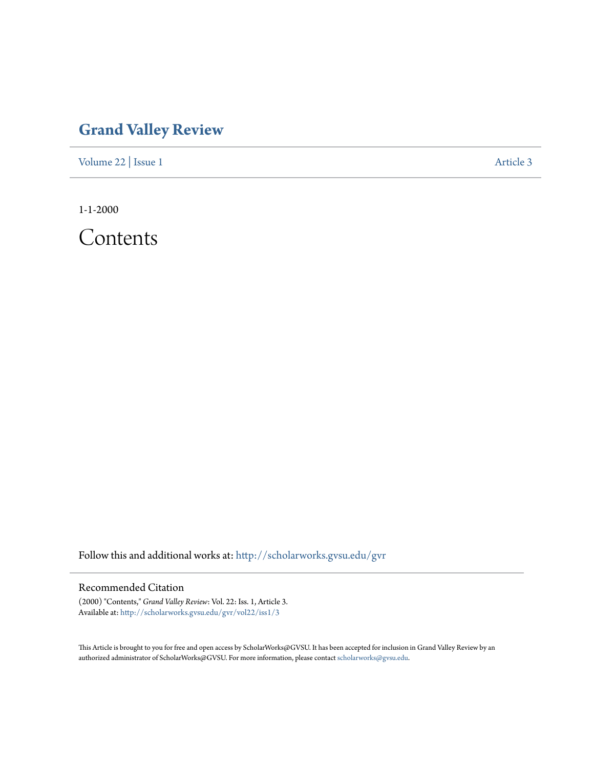## **[Grand Valley Review](http://scholarworks.gvsu.edu/gvr?utm_source=scholarworks.gvsu.edu%2Fgvr%2Fvol22%2Fiss1%2F3&utm_medium=PDF&utm_campaign=PDFCoverPages)**

[Volume 22](http://scholarworks.gvsu.edu/gvr/vol22?utm_source=scholarworks.gvsu.edu%2Fgvr%2Fvol22%2Fiss1%2F3&utm_medium=PDF&utm_campaign=PDFCoverPages) | [Issue 1](http://scholarworks.gvsu.edu/gvr/vol22/iss1?utm_source=scholarworks.gvsu.edu%2Fgvr%2Fvol22%2Fiss1%2F3&utm_medium=PDF&utm_campaign=PDFCoverPages) [Article 3](http://scholarworks.gvsu.edu/gvr/vol22/iss1/3?utm_source=scholarworks.gvsu.edu%2Fgvr%2Fvol22%2Fiss1%2F3&utm_medium=PDF&utm_campaign=PDFCoverPages)

1-1-2000

Contents

Follow this and additional works at: [http://scholarworks.gvsu.edu/gvr](http://scholarworks.gvsu.edu/gvr?utm_source=scholarworks.gvsu.edu%2Fgvr%2Fvol22%2Fiss1%2F3&utm_medium=PDF&utm_campaign=PDFCoverPages)

## Recommended Citation

(2000) "Contents," *Grand Valley Review*: Vol. 22: Iss. 1, Article 3. Available at: [http://scholarworks.gvsu.edu/gvr/vol22/iss1/3](http://scholarworks.gvsu.edu/gvr/vol22/iss1/3?utm_source=scholarworks.gvsu.edu%2Fgvr%2Fvol22%2Fiss1%2F3&utm_medium=PDF&utm_campaign=PDFCoverPages)

This Article is brought to you for free and open access by ScholarWorks@GVSU. It has been accepted for inclusion in Grand Valley Review by an authorized administrator of ScholarWorks@GVSU. For more information, please contact [scholarworks@gvsu.edu.](mailto:scholarworks@gvsu.edu)